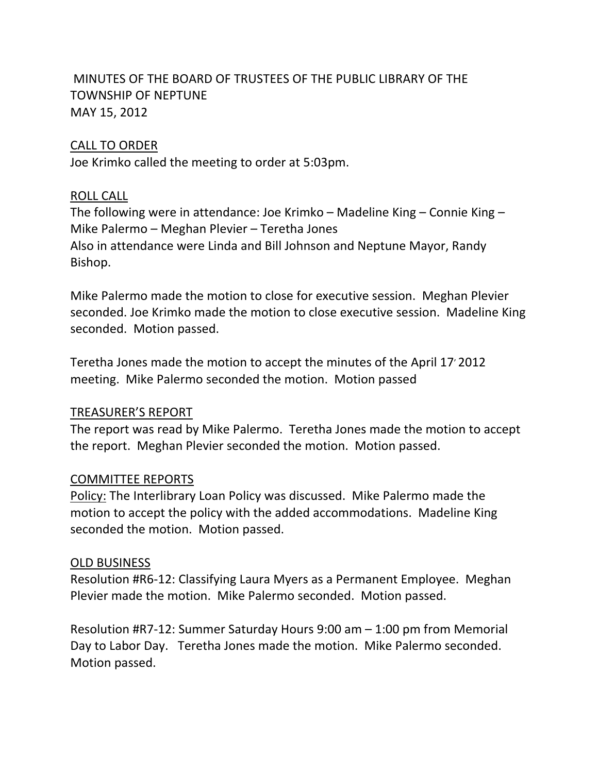# MINUTES OF THE BOARD OF TRUSTEES OF THE PUBLIC LIBRARY OF THE TOWNSHIP OF NEPTUNE MAY 15, 2012

### CALL TO ORDER

Joe Krimko called the meeting to order at 5:03pm.

### ROLL CALL

The following were in attendance: Joe Krimko – Madeline King – Connie King – Mike Palermo – Meghan Plevier – Teretha Jones Also in attendance were Linda and Bill Johnson and Neptune Mayor, Randy Bishop.

Mike Palermo made the motion to close for executive session. Meghan Plevier seconded. Joe Krimko made the motion to close executive session. Madeline King seconded. Motion passed.

Teretha Jones made the motion to accept the minutes of the April 17' 2012 meeting. Mike Palermo seconded the motion. Motion passed

## TREASURER'S REPORT

The report was read by Mike Palermo. Teretha Jones made the motion to accept the report. Meghan Plevier seconded the motion. Motion passed.

## COMMITTEE REPORTS

Policy: The Interlibrary Loan Policy was discussed. Mike Palermo made the motion to accept the policy with the added accommodations. Madeline King seconded the motion. Motion passed.

#### OLD BUSINESS

Resolution #R6‐12: Classifying Laura Myers as a Permanent Employee. Meghan Plevier made the motion. Mike Palermo seconded. Motion passed.

Resolution #R7‐12: Summer Saturday Hours 9:00 am – 1:00 pm from Memorial Day to Labor Day. Teretha Jones made the motion. Mike Palermo seconded. Motion passed.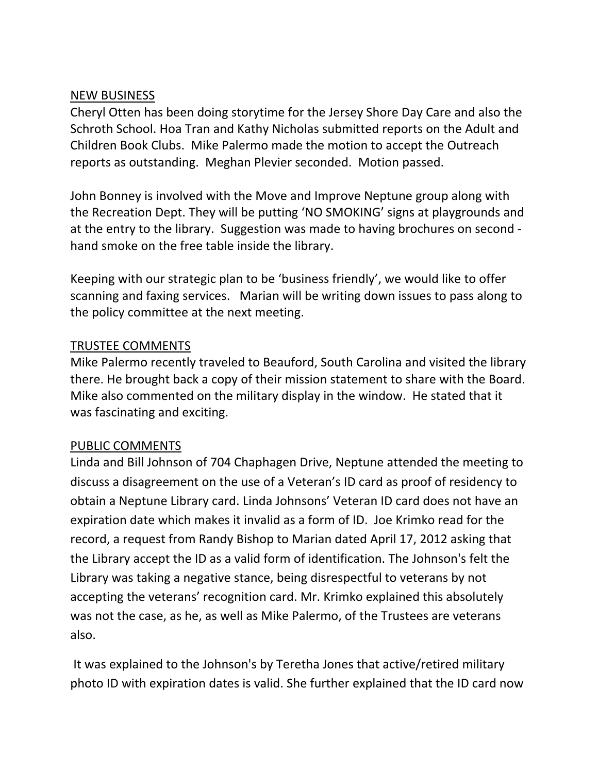### NEW BUSINESS

Cheryl Otten has been doing storytime for the Jersey Shore Day Care and also the Schroth School. Hoa Tran and Kathy Nicholas submitted reports on the Adult and Children Book Clubs. Mike Palermo made the motion to accept the Outreach reports as outstanding. Meghan Plevier seconded. Motion passed.

John Bonney is involved with the Move and Improve Neptune group along with the Recreation Dept. They will be putting 'NO SMOKING' signs at playgrounds and at the entry to the library. Suggestion was made to having brochures on second ‐ hand smoke on the free table inside the library.

Keeping with our strategic plan to be 'business friendly', we would like to offer scanning and faxing services. Marian will be writing down issues to pass along to the policy committee at the next meeting.

### TRUSTEE COMMENTS

Mike Palermo recently traveled to Beauford, South Carolina and visited the library there. He brought back a copy of their mission statement to share with the Board. Mike also commented on the military display in the window. He stated that it was fascinating and exciting.

## PUBLIC COMMENTS

Linda and Bill Johnson of 704 Chaphagen Drive, Neptune attended the meeting to discuss a disagreement on the use of a Veteran's ID card as proof of residency to obtain a Neptune Library card. Linda Johnsons' Veteran ID card does not have an expiration date which makes it invalid as a form of ID. Joe Krimko read for the record, a request from Randy Bishop to Marian dated April 17, 2012 asking that the Library accept the ID as a valid form of identification. The Johnson's felt the Library was taking a negative stance, being disrespectful to veterans by not accepting the veterans' recognition card. Mr. Krimko explained this absolutely was not the case, as he, as well as Mike Palermo, of the Trustees are veterans also.

It was explained to the Johnson's by Teretha Jones that active/retired military photo ID with expiration dates is valid. She further explained that the ID card now